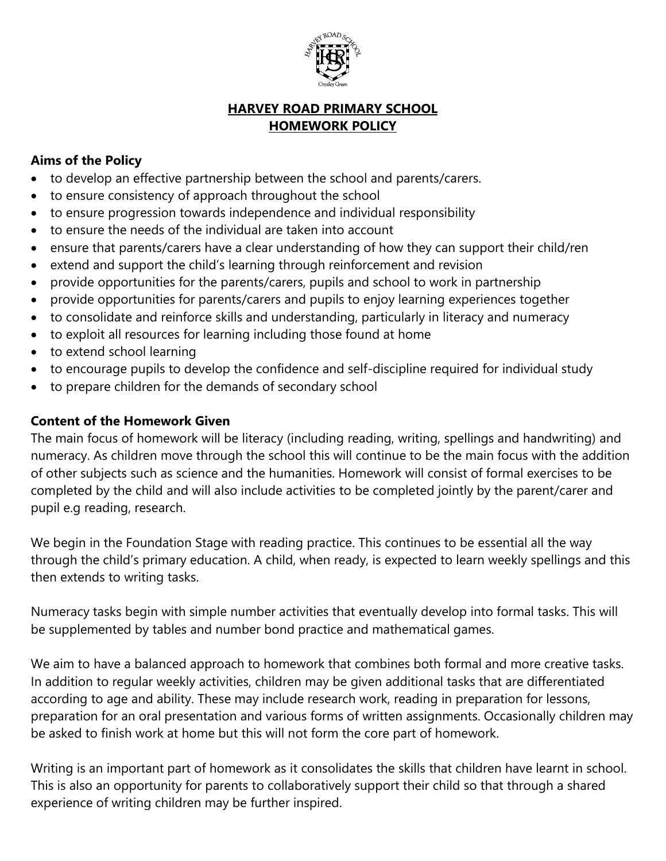

# **HARVEY ROAD PRIMARY SCHOOL HOMEWORK POLICY**

# **Aims of the Policy**

- to develop an effective partnership between the school and parents/carers.
- to ensure consistency of approach throughout the school
- to ensure progression towards independence and individual responsibility
- to ensure the needs of the individual are taken into account
- ensure that parents/carers have a clear understanding of how they can support their child/ren
- extend and support the child's learning through reinforcement and revision
- provide opportunities for the parents/carers, pupils and school to work in partnership
- provide opportunities for parents/carers and pupils to enjoy learning experiences together
- to consolidate and reinforce skills and understanding, particularly in literacy and numeracy
- to exploit all resources for learning including those found at home
- to extend school learning
- to encourage pupils to develop the confidence and self-discipline required for individual study
- to prepare children for the demands of secondary school

## **Content of the Homework Given**

The main focus of homework will be literacy (including reading, writing, spellings and handwriting) and numeracy. As children move through the school this will continue to be the main focus with the addition of other subjects such as science and the humanities. Homework will consist of formal exercises to be completed by the child and will also include activities to be completed jointly by the parent/carer and pupil e.g reading, research.

We begin in the Foundation Stage with reading practice. This continues to be essential all the way through the child's primary education. A child, when ready, is expected to learn weekly spellings and this then extends to writing tasks.

Numeracy tasks begin with simple number activities that eventually develop into formal tasks. This will be supplemented by tables and number bond practice and mathematical games.

We aim to have a balanced approach to homework that combines both formal and more creative tasks. In addition to regular weekly activities, children may be given additional tasks that are differentiated according to age and ability. These may include research work, reading in preparation for lessons, preparation for an oral presentation and various forms of written assignments. Occasionally children may be asked to finish work at home but this will not form the core part of homework.

Writing is an important part of homework as it consolidates the skills that children have learnt in school. This is also an opportunity for parents to collaboratively support their child so that through a shared experience of writing children may be further inspired.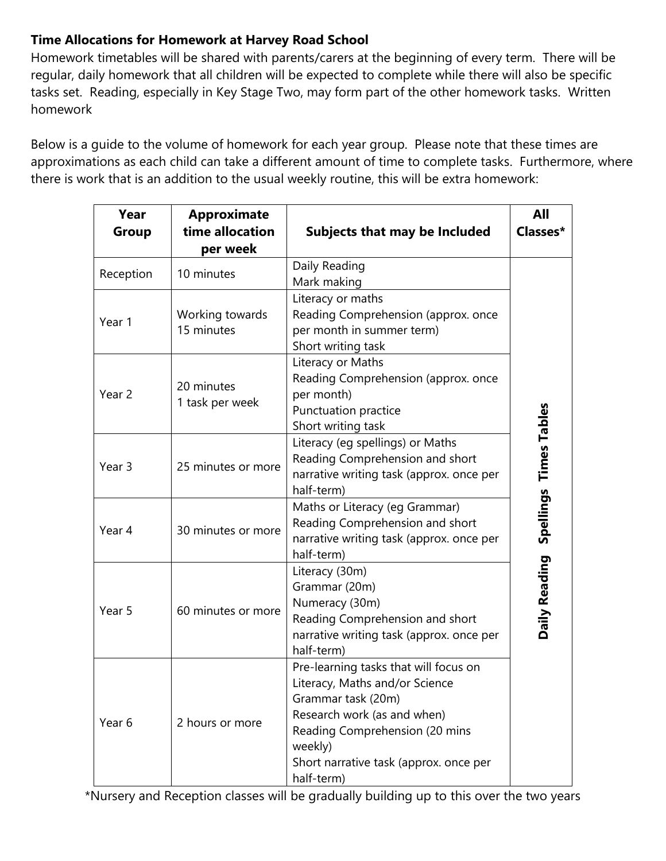# **Time Allocations for Homework at Harvey Road School**

Homework timetables will be shared with parents/carers at the beginning of every term. There will be regular, daily homework that all children will be expected to complete while there will also be specific tasks set. Reading, especially in Key Stage Two, may form part of the other homework tasks. Written homework

Below is a guide to the volume of homework for each year group. Please note that these times are approximations as each child can take a different amount of time to complete tasks. Furthermore, where there is work that is an addition to the usual weekly routine, this will be extra homework:

| Year<br>Group     | <b>Approximate</b><br>time allocation<br>per week | <b>Subjects that may be Included</b>                                                                                                                                                                                              | <b>All</b><br>Classes* |
|-------------------|---------------------------------------------------|-----------------------------------------------------------------------------------------------------------------------------------------------------------------------------------------------------------------------------------|------------------------|
| Reception         | 10 minutes                                        | Daily Reading<br>Mark making                                                                                                                                                                                                      |                        |
| Year 1            | Working towards<br>15 minutes                     | Literacy or maths<br>Reading Comprehension (approx. once<br>per month in summer term)<br>Short writing task                                                                                                                       |                        |
| Year 2            | 20 minutes<br>1 task per week                     | Literacy or Maths<br>Reading Comprehension (approx. once<br>per month)<br>Punctuation practice<br>Short writing task                                                                                                              |                        |
| Year <sub>3</sub> | 25 minutes or more                                | Literacy (eg spellings) or Maths<br>Reading Comprehension and short<br>narrative writing task (approx. once per<br>half-term)                                                                                                     | Spellings Times Tables |
| Year 4            | 30 minutes or more                                | Maths or Literacy (eg Grammar)<br>Reading Comprehension and short<br>narrative writing task (approx. once per<br>half-term)                                                                                                       |                        |
| Year 5            | 60 minutes or more                                | Literacy (30m)<br>Grammar (20m)<br>Numeracy (30m)<br>Reading Comprehension and short<br>narrative writing task (approx. once per<br>half-term)                                                                                    | Daily Reading          |
| Year 6            | 2 hours or more                                   | Pre-learning tasks that will focus on<br>Literacy, Maths and/or Science<br>Grammar task (20m)<br>Research work (as and when)<br>Reading Comprehension (20 mins<br>weekly)<br>Short narrative task (approx. once per<br>half-term) |                        |

\*Nursery and Reception classes will be gradually building up to this over the two years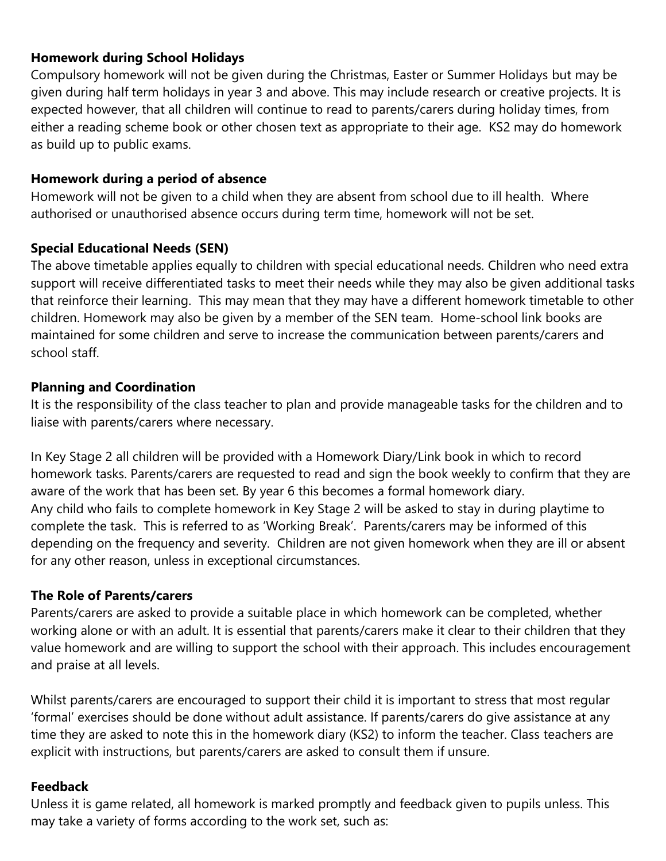#### **Homework during School Holidays**

Compulsory homework will not be given during the Christmas, Easter or Summer Holidays but may be given during half term holidays in year 3 and above. This may include research or creative projects. It is expected however, that all children will continue to read to parents/carers during holiday times, from either a reading scheme book or other chosen text as appropriate to their age. KS2 may do homework as build up to public exams.

## **Homework during a period of absence**

Homework will not be given to a child when they are absent from school due to ill health. Where authorised or unauthorised absence occurs during term time, homework will not be set.

## **Special Educational Needs (SEN)**

The above timetable applies equally to children with special educational needs. Children who need extra support will receive differentiated tasks to meet their needs while they may also be given additional tasks that reinforce their learning. This may mean that they may have a different homework timetable to other children. Homework may also be given by a member of the SEN team. Home-school link books are maintained for some children and serve to increase the communication between parents/carers and school staff.

## **Planning and Coordination**

It is the responsibility of the class teacher to plan and provide manageable tasks for the children and to liaise with parents/carers where necessary.

In Key Stage 2 all children will be provided with a Homework Diary/Link book in which to record homework tasks. Parents/carers are requested to read and sign the book weekly to confirm that they are aware of the work that has been set. By year 6 this becomes a formal homework diary. Any child who fails to complete homework in Key Stage 2 will be asked to stay in during playtime to complete the task. This is referred to as 'Working Break'. Parents/carers may be informed of this depending on the frequency and severity. Children are not given homework when they are ill or absent for any other reason, unless in exceptional circumstances.

#### **The Role of Parents/carers**

Parents/carers are asked to provide a suitable place in which homework can be completed, whether working alone or with an adult. It is essential that parents/carers make it clear to their children that they value homework and are willing to support the school with their approach. This includes encouragement and praise at all levels.

Whilst parents/carers are encouraged to support their child it is important to stress that most regular 'formal' exercises should be done without adult assistance. If parents/carers do give assistance at any time they are asked to note this in the homework diary (KS2) to inform the teacher. Class teachers are explicit with instructions, but parents/carers are asked to consult them if unsure.

# **Feedback**

Unless it is game related, all homework is marked promptly and feedback given to pupils unless. This may take a variety of forms according to the work set, such as: